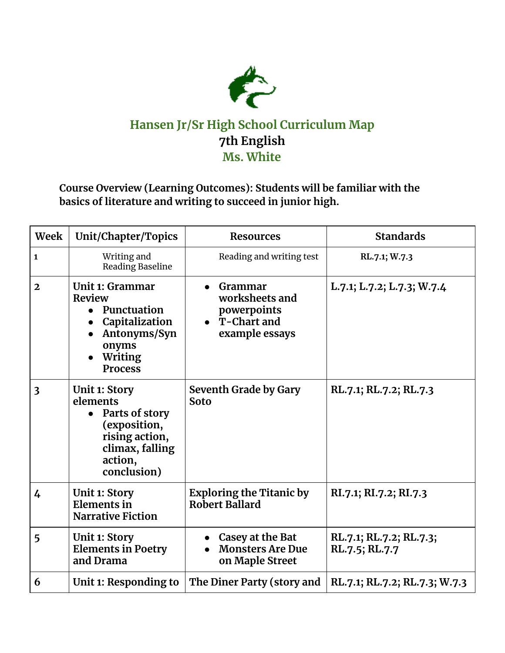

## **Hansen Jr/Sr High School Curriculum Map 7th English Ms. White**

## **Course Overview (Learning Outcomes): Students will be familiar with the basics of literature and writing to succeed in junior high.**

| Week                    | Unit/Chapter/Topics                                                                                                               | <b>Resources</b>                                                            | <b>Standards</b>                          |
|-------------------------|-----------------------------------------------------------------------------------------------------------------------------------|-----------------------------------------------------------------------------|-------------------------------------------|
| $\mathbf{1}$            | Writing and<br>Reading Baseline                                                                                                   | Reading and writing test                                                    | RL.7.1; W.7.3                             |
| $\mathbf{2}$            | Unit 1: Grammar<br><b>Review</b><br>Punctuation<br>Capitalization<br>Antonyms/Syn<br>onyms<br>Writing<br><b>Process</b>           | Grammar<br>worksheets and<br>powerpoints<br>• T-Chart and<br>example essays | L.7.1; L.7.2; L.7.3; W.7.4                |
| $\overline{\mathbf{3}}$ | <b>Unit 1: Story</b><br>elements<br>Parts of story<br>(exposition,<br>rising action,<br>climax, falling<br>action,<br>conclusion) | Seventh Grade by Gary<br><b>Soto</b>                                        | RL.7.1; RL.7.2; RL.7.3                    |
| 4                       | <b>Unit 1: Story</b><br>Elements in<br><b>Narrative Fiction</b>                                                                   | <b>Exploring the Titanic by</b><br>Robert Ballard                           | RI.7.1; RI.7.2; RI.7.3                    |
| 5                       | <b>Unit 1: Story</b><br><b>Elements in Poetry</b><br>and Drama                                                                    | Casey at the Bat<br><b>Monsters Are Due</b><br>on Maple Street              | RL.7.1; RL.7.2; RL.7.3;<br>RL.7.5; RL.7.7 |
| 6                       | Unit 1: Responding to                                                                                                             | The Diner Party (story and                                                  | RL.7.1; RL.7.2; RL.7.3; W.7.3             |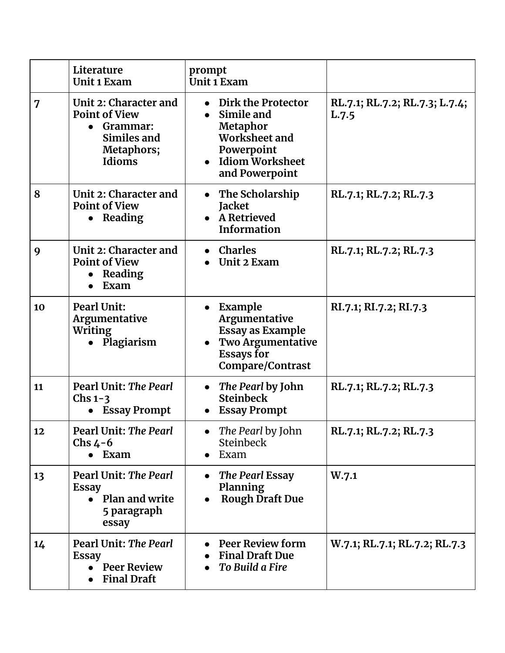|    | Literature<br>Unit 1 Exam                                                                           | prompt<br>Unit 1 Exam                                                                                                    |                                         |
|----|-----------------------------------------------------------------------------------------------------|--------------------------------------------------------------------------------------------------------------------------|-----------------------------------------|
| 7  | Unit 2: Character and<br><b>Point of View</b><br>• Grammar:<br>Similes and<br>Metaphors;<br>Idioms  | Dirk the Protector<br>Simile and<br>Metaphor<br>Worksheet and<br>Powerpoint<br>Idiom Worksheet<br>and Powerpoint         | RL.7.1; RL.7.2; RL.7.3; L.7.4;<br>L.7.5 |
| 8  | Unit 2: Character and<br><b>Point of View</b><br>• Reading                                          | The Scholarship<br><b>Jacket</b><br>• A Retrieved<br><b>Information</b>                                                  | RL.7.1; RL.7.2; RL.7.3                  |
| 9  | Unit 2: Character and<br><b>Point of View</b><br>• Reading<br>Exam                                  | • Charles<br>Unit 2 Exam                                                                                                 | RL.7.1; RL.7.2; RL.7.3                  |
| 10 | <b>Pearl Unit:</b><br>Argumentative<br><b>Writing</b><br>• Plagiarism                               | Example<br>Argumentative<br><b>Essay as Example</b><br><b>Two Argumentative</b><br><b>Essays for</b><br>Compare/Contrast | RI.7.1; RI.7.2; RI.7.3                  |
| 11 | <b>Pearl Unit: The Pearl</b><br>Chs $1-3$<br>• Essay Prompt                                         | The Pearl by John<br><b>Steinbeck</b><br><b>Essay Prompt</b>                                                             | RL.7.1; RL.7.2; RL.7.3                  |
| 12 | <b>Pearl Unit: The Pearl</b><br>Chs $4-6$<br>$\bullet$ Exam                                         | The Pearl by John<br><b>Steinbeck</b><br>Exam                                                                            | RL.7.1; RL.7.2; RL.7.3                  |
| 13 | <b>Pearl Unit: The Pearl</b><br><b>Essay</b><br>Plan and write<br>$\bullet$<br>5 paragraph<br>essay | The Pearl Essay<br>Planning<br><b>Rough Draft Due</b>                                                                    | W.7.1                                   |
| 14 | <b>Pearl Unit: The Pearl</b><br><b>Essay</b><br><b>Peer Review</b><br><b>Final Draft</b>            | <b>Peer Review form</b><br><b>Final Draft Due</b><br><b>To Build a Fire</b>                                              | W.7.1; RL.7.1; RL.7.2; RL.7.3           |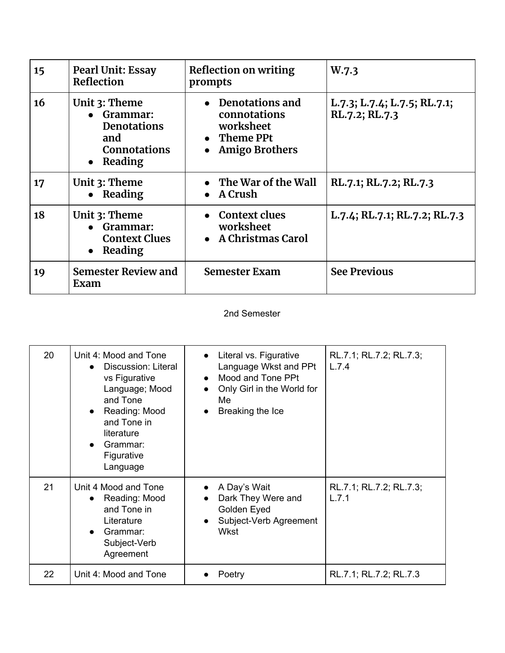| 15 | <b>Pearl Unit: Essay</b><br>Reflection                                                       | Reflection on writing<br>prompts                                                     | W.7.3                                          |
|----|----------------------------------------------------------------------------------------------|--------------------------------------------------------------------------------------|------------------------------------------------|
| 16 | Unit 3: Theme<br>• Grammar:<br><b>Denotations</b><br>and<br><b>Connotations</b><br>• Reading | • Denotations and<br>connotations<br>worksheet<br>Theme PPt<br><b>Amigo Brothers</b> | L.7.3; L.7.4; L.7.5; RL.7.1;<br>RL.7.2; RL.7.3 |
| 17 | Unit 3: Theme<br>• Reading                                                                   | $\bullet$ The War of the Wall<br>A Crush                                             | RL.7.1; RL.7.2; RL.7.3                         |
| 18 | Unit 3: Theme<br>• Grammar:<br><b>Context Clues</b><br>Reading<br>$\bullet$                  | <b>Context clues</b><br>worksheet<br>• A Christmas Carol                             | L.7.4; RL.7.1; RL.7.2; RL.7.3                  |
| 19 | <b>Semester Review and</b><br>Exam                                                           | <b>Semester Exam</b>                                                                 | <b>See Previous</b>                            |

## 2nd Semester

| 20 | Unit 4: Mood and Tone<br>Discussion: Literal<br>$\bullet$<br>vs Figurative<br>Language; Mood<br>and Tone<br>• Reading: Mood<br>and Tone in<br>literature<br>Grammar:<br>Figurative<br>Language | • Literal vs. Figurative<br>Language Wkst and PPt<br>Mood and Tone PPt<br>$\bullet$<br>Only Girl in the World for<br>$\bullet$<br>Me<br>Breaking the Ice<br>$\bullet$ | RL.7.1; RL.7.2; RL.7.3;<br>L.7.4 |
|----|------------------------------------------------------------------------------------------------------------------------------------------------------------------------------------------------|-----------------------------------------------------------------------------------------------------------------------------------------------------------------------|----------------------------------|
| 21 | Unit 4 Mood and Tone<br>Reading: Mood<br>$\bullet$<br>and Tone in<br>Literature<br>Grammar:<br>$\bullet$<br>Subject-Verb<br>Agreement                                                          | A Day's Wait<br>Dark They Were and<br>$\bullet$<br>Golden Eyed<br>Subject-Verb Agreement<br>Wkst                                                                      | RL.7.1; RL.7.2; RL.7.3;<br>L.7.1 |
| 22 | Unit 4: Mood and Tone                                                                                                                                                                          | Poetry                                                                                                                                                                | RL.7.1; RL.7.2; RL.7.3           |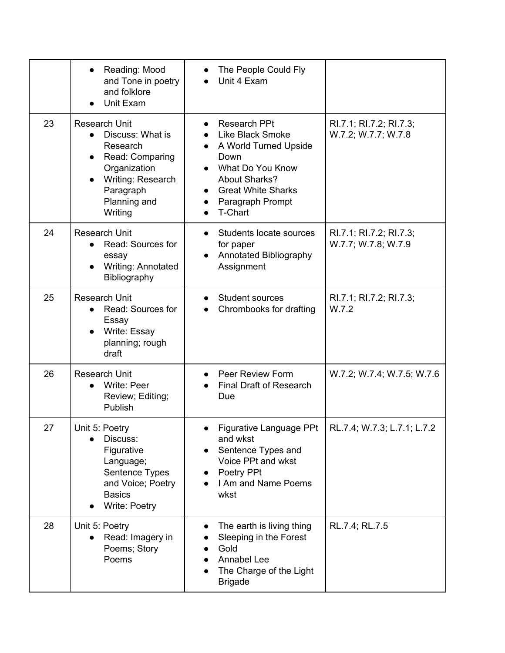|    | Reading: Mood<br>and Tone in poetry<br>and folklore<br>Unit Exam                                                                                                                            | The People Could Fly<br>Unit 4 Exam                                                                                                                                                                                            |                                                |
|----|---------------------------------------------------------------------------------------------------------------------------------------------------------------------------------------------|--------------------------------------------------------------------------------------------------------------------------------------------------------------------------------------------------------------------------------|------------------------------------------------|
| 23 | <b>Research Unit</b><br>Discuss: What is<br>$\bullet$<br>Research<br>Read: Comparing<br>$\bullet$<br>Organization<br>Writing: Research<br>$\bullet$<br>Paragraph<br>Planning and<br>Writing | <b>Research PPt</b><br><b>Like Black Smoke</b><br>A World Turned Upside<br>$\bullet$<br>Down<br>What Do You Know<br><b>About Sharks?</b><br><b>Great White Sharks</b><br>$\bullet$<br>Paragraph Prompt<br>$\bullet$<br>T-Chart | RI.7.1; RI.7.2; RI.7.3;<br>W.7.2; W.7.7; W.7.8 |
| 24 | <b>Research Unit</b><br>Read: Sources for<br>$\bullet$<br>essay<br>Writing: Annotated<br>Bibliography                                                                                       | Students locate sources<br>for paper<br>Annotated Bibliography<br>Assignment                                                                                                                                                   | RI.7.1; RI.7.2; RI.7.3;<br>W.7.7; W.7.8; W.7.9 |
| 25 | <b>Research Unit</b><br>Read: Sources for<br>Essay<br>Write: Essay<br>planning; rough<br>draft                                                                                              | <b>Student sources</b><br>$\bullet$<br>Chrombooks for drafting                                                                                                                                                                 | RI.7.1; RI.7.2; RI.7.3;<br>W.7.2               |
| 26 | <b>Research Unit</b><br>Write: Peer<br>Review; Editing;<br>Publish                                                                                                                          | <b>Peer Review Form</b><br><b>Final Draft of Research</b><br>Due                                                                                                                                                               | W.7.2; W.7.4; W.7.5; W.7.6                     |
| 27 | Unit 5: Poetry<br>Discuss:<br>Figurative<br>Language;<br>Sentence Types<br>and Voice; Poetry<br><b>Basics</b><br>Write: Poetry                                                              | Figurative Language PPt<br>and wkst<br>Sentence Types and<br>Voice PPt and wkst<br>Poetry PPt<br>I Am and Name Poems<br>wkst                                                                                                   | RL.7.4; W.7.3; L.7.1; L.7.2                    |
| 28 | Unit 5: Poetry<br>Read: Imagery in<br>Poems; Story<br>Poems                                                                                                                                 | The earth is living thing<br>Sleeping in the Forest<br>Gold<br><b>Annabel Lee</b><br>The Charge of the Light<br><b>Brigade</b>                                                                                                 | RL.7.4; RL.7.5                                 |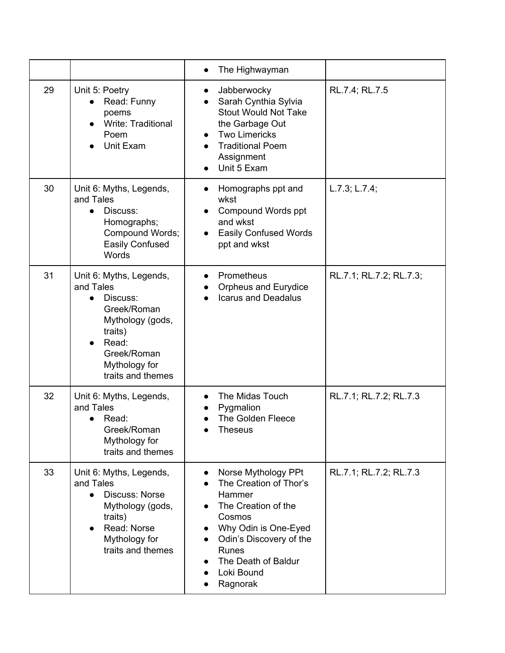|    |                                                                                                                                                                           | The Highwayman                                                                                                                                                                                               |                         |
|----|---------------------------------------------------------------------------------------------------------------------------------------------------------------------------|--------------------------------------------------------------------------------------------------------------------------------------------------------------------------------------------------------------|-------------------------|
| 29 | Unit 5: Poetry<br>Read: Funny<br>poems<br>Write: Traditional<br>Poem<br>Unit Exam                                                                                         | Jabberwocky<br>Sarah Cynthia Sylvia<br><b>Stout Would Not Take</b><br>the Garbage Out<br><b>Two Limericks</b><br><b>Traditional Poem</b><br>Assignment<br>Unit 5 Exam                                        | RL.7.4; RL.7.5          |
| 30 | Unit 6: Myths, Legends,<br>and Tales<br>Discuss:<br>$\bullet$<br>Homographs;<br>Compound Words;<br>Easily Confused<br>Words                                               | Homographs ppt and<br>wkst<br>Compound Words ppt<br>and wkst<br><b>Easily Confused Words</b><br>ppt and wkst                                                                                                 | L.7.3; L.7.4;           |
| 31 | Unit 6: Myths, Legends,<br>and Tales<br>Discuss:<br>$\bullet$<br>Greek/Roman<br>Mythology (gods,<br>traits)<br>Read:<br>Greek/Roman<br>Mythology for<br>traits and themes | Prometheus<br>Orpheus and Eurydice<br><b>Icarus and Deadalus</b>                                                                                                                                             | RL.7.1; RL.7.2; RL.7.3; |
| 32 | Unit 6: Myths, Legends,<br>and Tales<br>Read:<br>$\bullet$<br>Greek/Roman<br>Mythology for<br>traits and themes                                                           | The Midas Touch<br>Pygmalion<br>The Golden Fleece<br><b>Theseus</b>                                                                                                                                          | RL.7.1; RL.7.2; RL.7.3  |
| 33 | Unit 6: Myths, Legends,<br>and Tales<br><b>Discuss: Norse</b><br>Mythology (gods,<br>traits)<br>Read: Norse<br>Mythology for<br>traits and themes                         | Norse Mythology PPt<br>The Creation of Thor's<br>Hammer<br>The Creation of the<br>Cosmos<br>Why Odin is One-Eyed<br>Odin's Discovery of the<br><b>Runes</b><br>The Death of Baldur<br>Loki Bound<br>Ragnorak | RL.7.1; RL.7.2; RL.7.3  |